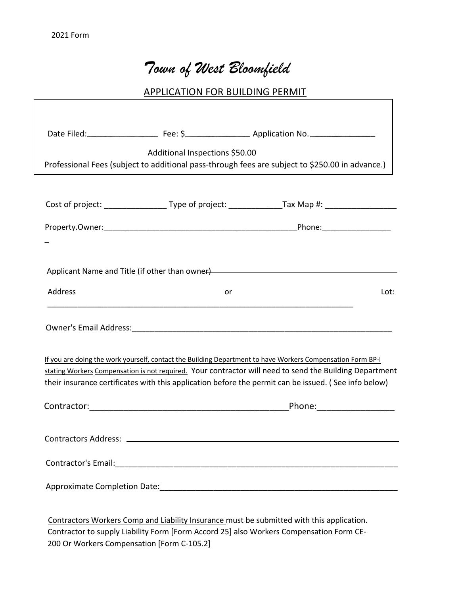# *Town of West Bloomfield*

### APPLICATION FOR BUILDING PERMIT

| Additional Inspections \$50.00                                                                                                                                                                                                                                                                                                |  |                              |      |  |
|-------------------------------------------------------------------------------------------------------------------------------------------------------------------------------------------------------------------------------------------------------------------------------------------------------------------------------|--|------------------------------|------|--|
| Professional Fees (subject to additional pass-through fees are subject to \$250.00 in advance.)                                                                                                                                                                                                                               |  |                              |      |  |
|                                                                                                                                                                                                                                                                                                                               |  |                              |      |  |
|                                                                                                                                                                                                                                                                                                                               |  |                              |      |  |
|                                                                                                                                                                                                                                                                                                                               |  |                              |      |  |
| Applicant Name and Title (if other than owner)<br>and the manufactured and the control of the control of the control of the control of the control of the control of the control of the control of the control of the control of                                                                                              |  |                              |      |  |
| Address                                                                                                                                                                                                                                                                                                                       |  | or                           | Lot: |  |
|                                                                                                                                                                                                                                                                                                                               |  |                              |      |  |
| If you are doing the work yourself, contact the Building Department to have Workers Compensation Form BP-I<br>stating Workers Compensation is not required. Your contractor will need to send the Building Department<br>their insurance certificates with this application before the permit can be issued. (See info below) |  |                              |      |  |
|                                                                                                                                                                                                                                                                                                                               |  | _Phone:_____________________ |      |  |
|                                                                                                                                                                                                                                                                                                                               |  |                              |      |  |
|                                                                                                                                                                                                                                                                                                                               |  |                              |      |  |
|                                                                                                                                                                                                                                                                                                                               |  |                              |      |  |
|                                                                                                                                                                                                                                                                                                                               |  |                              |      |  |

Contractors Workers Comp and Liability Insurance must be submitted with this application. Contractor to supply Liability Form [Form Accord 25] also Workers Compensation Form CE-200 Or Workers Compensation [Form C-105.2]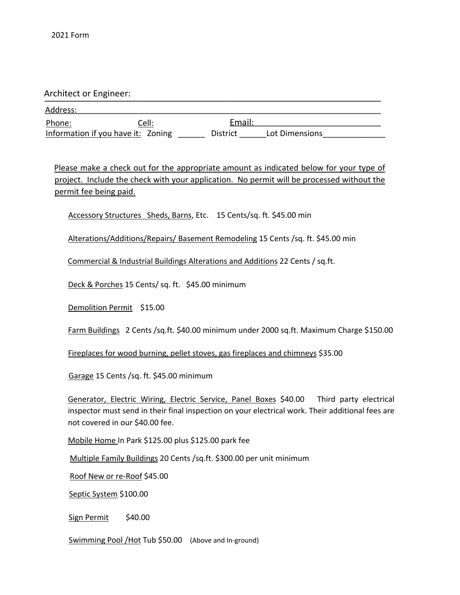Architect or Engineer:

Information if you have it: Zoning \_\_\_\_\_\_\_\_ District \_\_\_\_\_\_\_ Lot Dimensions Address: Phone: Cell: Cell: Email:

Please make a check out for the appropriate amount as indicated below for your type of project. Include the check with your application. No permit will be processed without the permit fee being paid.

Accessory Structures Sheds, Barns, Etc. 15 Cents/sq. ft. \$45.00 min

Alterations/Additions/Repairs/ Basement Remodeling 15 Cents /sq. ft. \$45.00 min

Commercial & Industrial Buildings Alterations and Additions 22 Cents / sq.ft.

Deck & Porches 15 Cents/ sq. ft. \$45.00 minimum

Demolition Permit \$15.00

Farm Buildings 2 Cents /sq.ft. \$40.00 minimum under 2000 sq.ft. Maximum Charge \$150.00

Fireplaces for wood burning, pellet stoves, gas fireplaces and chimneys \$35.00

Garage 15 Cents /sq. ft. \$45.00 minimum

Generator, Electric Wiring, Electric Service, Panel Boxes \$40.00 Third party electrical inspector must send in their final inspection on your electrical work. Their additional fees are not covered in our \$40.00 fee.

Mobile Home In Park \$125.00 plus \$125.00 park fee

Multiple Family Buildings 20 Cents /sq.ft. \$300.00 per unit minimum

Roof New or re-Roof \$45.00

Septic System \$100.00

Sign Permit \$40.00

Swimming Pool / Hot Tub \$50.00 (Above and In-ground)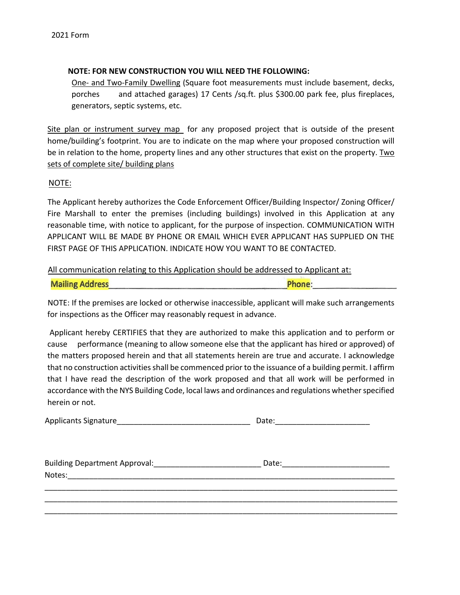#### **NOTE: FOR NEW CONSTRUCTION YOU WILL NEED THE FOLLOWING:**

One- and Two-Family Dwelling (Square foot measurements must include basement, decks, porches and attached garages) 17 Cents /sq.ft. plus \$300.00 park fee, plus fireplaces, generators, septic systems, etc.

Site plan or instrument survey map for any proposed project that is outside of the present home/building's footprint. You are to indicate on the map where your proposed construction will be in relation to the home, property lines and any other structures that exist on the property. Two sets of complete site/ building plans

#### NOTE:

The Applicant hereby authorizes the Code Enforcement Officer/Building Inspector/ Zoning Officer/ Fire Marshall to enter the premises (including buildings) involved in this Application at any reasonable time, with notice to applicant, for the purpose of inspection. COMMUNICATION WITH APPLICANT WILL BE MADE BY PHONE OR EMAIL WHICH EVER APPLICANT HAS SUPPLIED ON THE FIRST PAGE OF THIS APPLICATION. INDICATE HOW YOU WANT TO BE CONTACTED.

All communication relating to this Application should be addressed to Applicant at:

| <b>Mailing Address</b> | Phone: |
|------------------------|--------|
|                        |        |

NOTE: If the premises are locked or otherwise inaccessible, applicant will make such arrangements for inspections as the Officer may reasonably request in advance.

Applicant hereby CERTIFIES that they are authorized to make this application and to perform or cause performance (meaning to allow someone else that the applicant has hired or approved) of the matters proposed herein and that all statements herein are true and accurate. I acknowledge that no construction activities shall be commenced prior to the issuance of a building permit. I affirm that I have read the description of the work proposed and that all work will be performed in accordance with the NYS Building Code, local laws and ordinances and regulations whether specified herein or not.

| <b>Applicants Signature</b> | Date: |
|-----------------------------|-------|
|                             |       |

| <b>Building Department Approval:</b> | Date: |
|--------------------------------------|-------|
| Notes:                               |       |
|                                      |       |

\_\_\_\_\_\_\_\_\_\_\_\_\_\_\_\_\_\_\_\_\_\_\_\_\_\_\_\_\_\_\_\_\_\_\_\_\_\_\_\_\_\_\_\_\_\_\_\_\_\_\_\_\_\_\_\_\_\_\_\_\_\_\_\_\_\_\_\_\_\_\_\_\_\_\_\_\_\_\_\_\_\_ \_\_\_\_\_\_\_\_\_\_\_\_\_\_\_\_\_\_\_\_\_\_\_\_\_\_\_\_\_\_\_\_\_\_\_\_\_\_\_\_\_\_\_\_\_\_\_\_\_\_\_\_\_\_\_\_\_\_\_\_\_\_\_\_\_\_\_\_\_\_\_\_\_\_\_\_\_\_\_\_\_\_